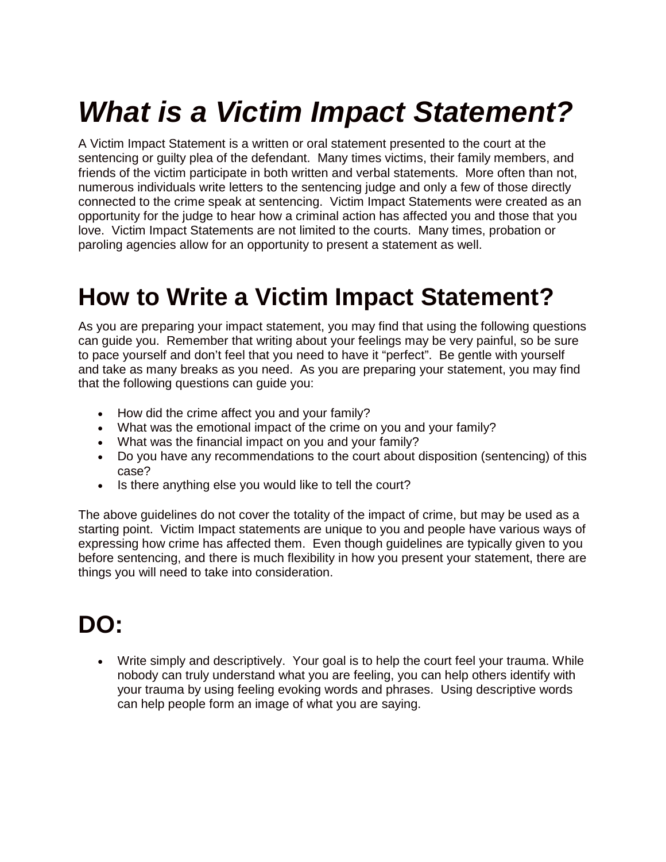# *What is a Victim Impact Statement?*

A Victim Impact Statement is a written or oral statement presented to the court at the sentencing or guilty plea of the defendant. Many times victims, their family members, and friends of the victim participate in both written and verbal statements. More often than not, numerous individuals write letters to the sentencing judge and only a few of those directly connected to the crime speak at sentencing. Victim Impact Statements were created as an opportunity for the judge to hear how a criminal action has affected you and those that you love. Victim Impact Statements are not limited to the courts. Many times, probation or paroling agencies allow for an opportunity to present a statement as well.

### **How to Write a Victim Impact Statement?**

As you are preparing your impact statement, you may find that using the following questions can guide you. Remember that writing about your feelings may be very painful, so be sure to pace yourself and don't feel that you need to have it "perfect". Be gentle with yourself and take as many breaks as you need. As you are preparing your statement, you may find that the following questions can guide you:

- How did the crime affect you and your family?
- What was the emotional impact of the crime on you and your family?
- What was the financial impact on you and your family?
- Do you have any recommendations to the court about disposition (sentencing) of this case?
- Is there anything else you would like to tell the court?

The above guidelines do not cover the totality of the impact of crime, but may be used as a starting point. Victim Impact statements are unique to you and people have various ways of expressing how crime has affected them. Even though guidelines are typically given to you before sentencing, and there is much flexibility in how you present your statement, there are things you will need to take into consideration.

### **DO:**

 Write simply and descriptively. Your goal is to help the court feel your trauma. While nobody can truly understand what you are feeling, you can help others identify with your trauma by using feeling evoking words and phrases. Using descriptive words can help people form an image of what you are saying.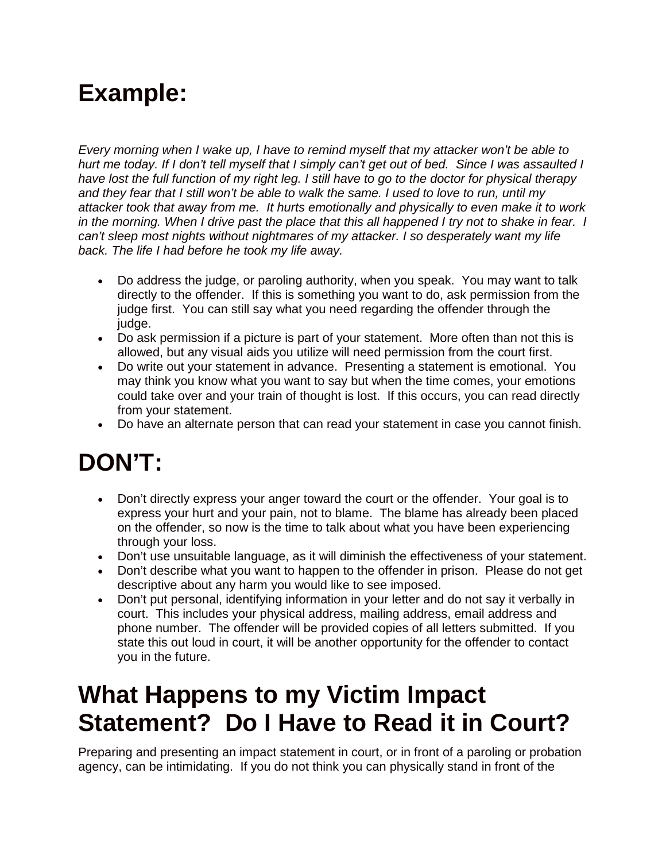# **Example:**

*Every morning when I wake up, I have to remind myself that my attacker won't be able to hurt me today. If I don't tell myself that I simply can't get out of bed. Since I was assaulted I have lost the full function of my right leg. I still have to go to the doctor for physical therapy and they fear that I still won't be able to walk the same. I used to love to run, until my attacker took that away from me. It hurts emotionally and physically to even make it to work in the morning. When I drive past the place that this all happened I try not to shake in fear. I can't sleep most nights without nightmares of my attacker. I so desperately want my life back. The life I had before he took my life away.*

- Do address the judge, or paroling authority, when you speak. You may want to talk directly to the offender. If this is something you want to do, ask permission from the judge first. You can still say what you need regarding the offender through the judge.
- Do ask permission if a picture is part of your statement. More often than not this is allowed, but any visual aids you utilize will need permission from the court first.
- Do write out your statement in advance. Presenting a statement is emotional. You may think you know what you want to say but when the time comes, your emotions could take over and your train of thought is lost. If this occurs, you can read directly from your statement.
- Do have an alternate person that can read your statement in case you cannot finish.

# **DON'T:**

- Don't directly express your anger toward the court or the offender. Your goal is to express your hurt and your pain, not to blame. The blame has already been placed on the offender, so now is the time to talk about what you have been experiencing through your loss.
- Don't use unsuitable language, as it will diminish the effectiveness of your statement.
- Don't describe what you want to happen to the offender in prison. Please do not get descriptive about any harm you would like to see imposed.
- Don't put personal, identifying information in your letter and do not say it verbally in court. This includes your physical address, mailing address, email address and phone number. The offender will be provided copies of all letters submitted. If you state this out loud in court, it will be another opportunity for the offender to contact you in the future.

# **What Happens to my Victim Impact Statement? Do I Have to Read it in Court?**

Preparing and presenting an impact statement in court, or in front of a paroling or probation agency, can be intimidating. If you do not think you can physically stand in front of the